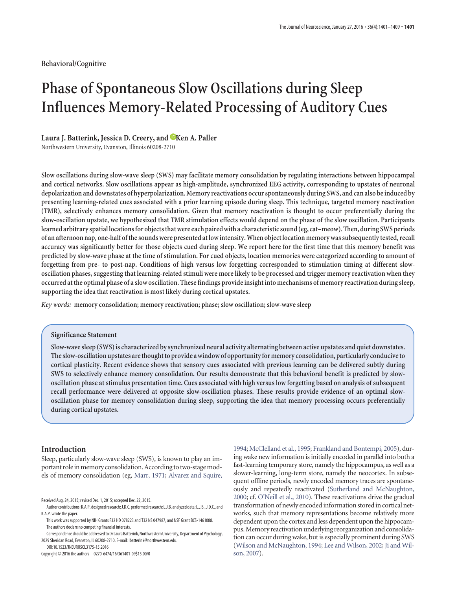**Behavioral/Cognitive**

# **Phase of Spontaneous Slow Oscillations during Sleep Influences Memory-Related Processing of Auditory Cues**

# Laura J. Batterink, Jessica D. Creery, and **EXEC A. Paller**

Northwestern University, Evanston, Illinois 60208-2710

**Slow oscillations during slow-wave sleep (SWS) may facilitate memory consolidation by regulating interactions between hippocampal and cortical networks. Slow oscillations appear as high-amplitude, synchronized EEG activity, corresponding to upstates of neuronal depolarization and downstates of hyperpolarization. Memory reactivations occur spontaneously during SWS, and can also be induced by presenting learning-related cues associated with a prior learning episode during sleep. This technique, targeted memory reactivation (TMR), selectively enhances memory consolidation. Given that memory reactivation is thought to occur preferentially during the slow-oscillation upstate, we hypothesized that TMR stimulation effects would depend on the phase of the slow oscillation. Participants** learned arbitrary spatial locations for objects that were each paired with a characteristic sound (eg, cat–meow). Then, during SWS periods **of an afternoon nap, one-half ofthe sounds were presented at low intensity.When object location memory was subsequentlytested, recall accuracy was significantly better for those objects cued during sleep. We report here for the first time that this memory benefit was predicted by slow-wave phase at the time of stimulation. For cued objects, location memories were categorized according to amount of forgetting from pre- to post-nap. Conditions of high versus low forgetting corresponded to stimulation timing at different slowoscillation phases, suggesting that learning-related stimuli were more likely to be processed and trigger memory reactivation when they occurred atthe optimal phase of a slow oscillation. These findings provide insight into mechanisms of memory reactivation during sleep, supporting the idea that reactivation is most likely during cortical upstates.**

*Key words:* **memory consolidation; memory reactivation; phase; slow oscillation; slow-wave sleep**

## **Significance Statement**

**Slow-wave sleep (SWS) is characterized by synchronized neural activity alternating between active upstates and quiet downstates. The slow-oscillation upstates arethoughtto provide a window of opportunityfor memory consolidation, particularly conduciveto cortical plasticity. Recent evidence shows that sensory cues associated with previous learning can be delivered subtly during SWS to selectively enhance memory consolidation. Our results demonstrate that this behavioral benefit is predicted by slowoscillation phase at stimulus presentation time. Cues associated with high versus low forgetting based on analysis of subsequent recall performance were delivered at opposite slow-oscillation phases. These results provide evidence of an optimal slowoscillation phase for memory consolidation during sleep, supporting the idea that memory processing occurs preferentially during cortical upstates.**

# **Introduction**

Sleep, particularly slow-wave sleep (SWS), is known to play an important role in memory consolidation. According to two-stage models of memory consolidation (eg, Marr, 1971; Alvarez and Squire,

DOI:10.1523/JNEUROSCI.3175-15.2016

Copyright © 2016 the authors 0270-6474/16/361401-09\$15.00/0

1994; McClelland et al., 1995; Frankland and Bontempi, 2005), during wake new information is initially encoded in parallel into both a fast-learning temporary store, namely the hippocampus, as well as a slower-learning, long-term store, namely the neocortex. In subsequent offline periods, newly encoded memory traces are spontaneously and repeatedly reactivated (Sutherland and McNaughton, 2000; cf. O'Neill et al., 2010). These reactivations drive the gradual transformation of newly encoded information stored in cortical networks, such that memory representations become relatively more dependent upon the cortex and less dependent upon the hippocampus.Memory reactivation underlying reorganization and consolidation can occur during wake, but is especially prominent during SWS (Wilson and McNaughton, 1994; Lee and Wilson, 2002; Ji and Wilson, 2007).

Received Aug. 24, 2015; revised Dec. 1, 2015; accepted Dec. 22, 2015.

Author contributions: K.A.P. designed research; J.D.C. performed research; L.J.B. analyzed data; L.J.B., J.D.C., and K.A.P. wrote the paper.

This work was supported by NIH Grants F32 HD 078223 and T32 NS 047987, and NSF Grant BCS-1461088. The authors declare no competing financial interests.

Correspondence should be addressed to Dr Laura Batterink, Northwestern University, Department of Psychology, 2029 Sheridan Road, Evanston, IL 60208-2710. E-mail: lbatterink@northwestern.edu.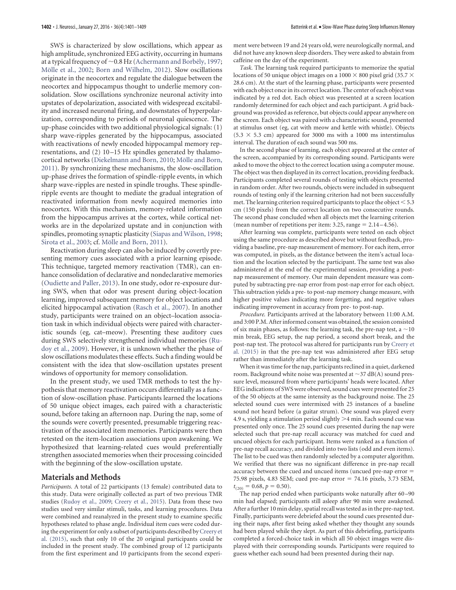SWS is characterized by slow oscillations, which appear as high amplitude, synchronized EEG activity, occurring in humans at a typical frequency of  $\sim$  0.8 Hz (Achermann and Borbély, 1997; Mölle et al., 2002; Born and Wilhelm, 2012). Slow oscillations originate in the neocortex and regulate the dialogue between the neocortex and hippocampus thought to underlie memory consolidation. Slow oscillations synchronize neuronal activity into upstates of depolarization, associated with widespread excitability and increased neuronal firing, and downstates of hyperpolarization, corresponding to periods of neuronal quiescence. The up-phase coincides with two additional physiological signals: (1) sharp wave-ripples generated by the hippocampus, associated with reactivations of newly encoded hippocampal memory representations, and (2) 10 –15 Hz spindles generated by thalamocortical networks (Diekelmann and Born, 2010; Mölle and Born, 2011). By synchronizing these mechanisms, the slow-oscillation up-phase drives the formation of spindle-ripple events, in which sharp wave-ripples are nested in spindle troughs. These spindleripple events are thought to mediate the gradual integration of reactivated information from newly acquired memories into neocortex. With this mechanism, memory-related information from the hippocampus arrives at the cortex, while cortical networks are in the depolarized upstate and in conjunction with spindles, promoting synaptic plasticity (Siapas and Wilson, 1998; Sirota et al., 2003; cf. Mölle and Born, 2011).

Reactivation during sleep can also be induced by covertly presenting memory cues associated with a prior learning episode. This technique, targeted memory reactivation (TMR), can enhance consolidation of declarative and nondeclarative memories (Oudiette and Paller, 2013). In one study, odor re-exposure during SWS, when that odor was present during object-location learning, improved subsequent memory for object locations and elicited hippocampal activation (Rasch et al., 2007). In another study, participants were trained on an object–location association task in which individual objects were paired with characteristic sounds (eg, cat–meow). Presenting these auditory cues during SWS selectively strengthened individual memories (Rudoy et al., 2009). However, it is unknown whether the phase of slow oscillations modulates these effects. Such a finding would be consistent with the idea that slow-oscillation upstates present windows of opportunity for memory consolidation.

In the present study, we used TMR methods to test the hypothesis that memory reactivation occurs differentially as a function of slow-oscillation phase. Participants learned the locations of 50 unique object images, each paired with a characteristic sound, before taking an afternoon nap. During the nap, some of the sounds were covertly presented, presumable triggering reactivation of the associated item memories. Participants were then retested on the item-location associations upon awakening. We hypothesized that learning-related cues would preferentially strengthen associated memories when their processing coincided with the beginning of the slow-oscillation upstate.

### **Materials and Methods**

*Participants.* A total of 22 participants (13 female) contributed data to this study. Data were originally collected as part of two previous TMR studies (Rudoy et al., 2009; Creery et al., 2015). Data from these two studies used very similar stimuli, tasks, and learning procedures. Data were combined and reanalyzed in the present study to examine specific hypotheses related to phase angle. Individual item cues were coded during the experiment for only a subset of participants described byCreery et al. (2015), such that only 10 of the 20 original participants could be included in the present study. The combined group of 12 participants from the first experiment and 10 participants from the second experiment were between 19 and 24 years old, were neurologically normal, and did not have any known sleep disorders. They were asked to abstain from caffeine on the day of the experiment.

*Task.* The learning task required participants to memorize the spatial locations of 50 unique object images on a 1000  $\times$  800 pixel grid (35.7  $\times$ 28.6 cm). At the start of the learning phase, participants were presented with each object once in its correct location. The center of each object was indicated by a red dot. Each object was presented at a screen location randomly determined for each object and each participant. A grid background was provided as reference, but objects could appear anywhere on the screen. Each object was paired with a characteristic sound, presented at stimulus onset (eg, cat with meow and kettle with whistle). Objects  $(5.3 \times 5.3 \text{ cm})$  appeared for 3000 ms with a 1000 ms interstimulus interval. The duration of each sound was 500 ms.

In the second phase of learning, each object appeared at the center of the screen, accompanied by its corresponding sound. Participants were asked to move the object to the correct location using a computer mouse. The object was then displayed in its correct location, providing feedback. Participants completed several rounds of testing with objects presented in random order. After two rounds, objects were included in subsequent rounds of testing only if the learning criterion had not been successfully met. The learning criterion required participants to place the object  $< 5.3$ cm (150 pixels) from the correct location on two consecutive rounds. The second phase concluded when all objects met the learning criterion (mean number of repetitions per item:  $3.25$ , range  $= 2.14 - 4.56$ ).

After learning was complete, participants were tested on each object using the same procedure as described above but without feedback, providing a baseline, pre-nap measurement of memory. For each item, error was computed, in pixels, as the distance between the item's actual location and the location selected by the participant. The same test was also administered at the end of the experimental session, providing a postnap measurement of memory. Our main dependent measure was computed by subtracting pre-nap error from post-nap error for each object. This subtraction yields a pre- to post-nap memory change measure, with higher positive values indicating more forgetting, and negative values indicating improvement in accuracy from pre- to post-nap.

*Procedure.* Participants arrived at the laboratory between 11:00 A.M. and 3:00 P.M. After informed consent was obtained, the session consisted of six main phases, as follows: the learning task, the pre-nap test, a  $\sim$ 10 min break, EEG setup, the nap period, a second short break, and the post-nap test. The protocol was altered for participants run by Creery et al. (2015) in that the pre-nap test was administered after EEG setup rather than immediately after the learning task.

When it was time for the nap, participants reclined in a quiet, darkened room. Background white noise was presented at  $\sim$ 37 dB(A) sound pressure level, measured from where participants' heads were located. After EEG indications of SWS were observed, sound cues were presented for 25 of the 50 objects at the same intensity as the background noise. The 25 selected sound cues were intermixed with 25 instances of a baseline sound not heard before (a guitar strum). One sound was played every 4.9 s, yielding a stimulation period slightly  $>4$  min. Each sound cue was presented only once. The 25 sound cues presented during the nap were selected such that pre-nap recall accuracy was matched for cued and uncued objects for each participant. Items were ranked as a function of pre-nap recall accuracy, and divided into two lists (odd and even items). The list to be cued was then randomly selected by a computer algorithm. We verified that there was no significant difference in pre-nap recall accuracy between the cued and uncued items (uncued pre-nap error  $=$ 75.98 pixels, 4.83 SEM; cued pre-nap error \$ 74.16 pixels, 3.73 SEM,  $t_{(20)} = 0.68$ ,  $p = 0.50$ ).

The nap period ended when participants woke naturally after 60 –90 min had elapsed; participants still asleep after 90 min were awakened. After a further 10 min delay, spatial recall was tested as in the pre-nap test. Finally, participants were debriefed about the sound cues presented during their naps, after first being asked whether they thought any sounds had been played while they slept. As part of this debriefing, participants completed a forced-choice task in which all 50 object images were displayed with their corresponding sounds. Participants were required to guess whether each sound had been presented during their nap.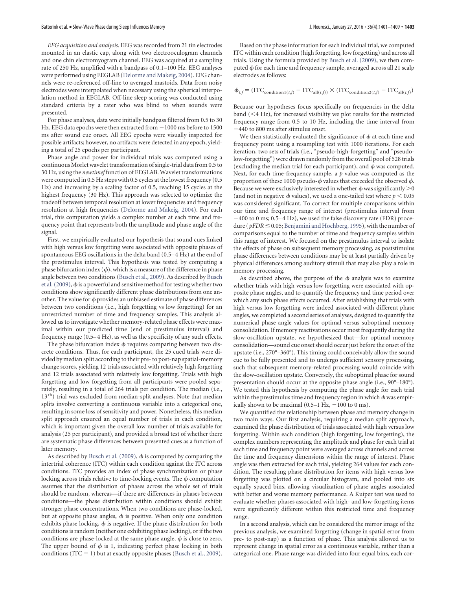*EEG acquisition and analysis.* EEG was recorded from 21 tin electrodes mounted in an elastic cap, along with two electrooculogram channels and one chin electromyogram channel. EEG was acquired at a sampling rate of 250 Hz, amplified with a bandpass of 0.1–100 Hz. EEG analyses were performed using EEGLAB (Delorme and Makeig, 2004). EEG channels were re-referenced off-line to averaged mastoids. Data from noisy electrodes were interpolated when necessary using the spherical interpolation method in EEGLAB. Off-line sleep scoring was conducted using standard criteria by a rater who was blind to when sounds were presented.

For phase analyses, data were initially bandpass filtered from 0.5 to 30 Hz. EEG data epochs were then extracted from  $-1000$  ms before to 1500 ms after sound cue onset. All EEG epochs were visually inspected for possible artifacts; however, no artifacts were detected in any epoch, yielding a total of 25 epochs per participant.

Phase angle and power for individual trials was computed using a continuous Morlet wavelet transformation of single-trial data from 0.5 to 30 Hz, using the *newtimef* function of EEGLAB. Wavelet transformations were computed in 0.5 Hz steps with 0.5 cycles at the lowest frequency (0.5 Hz) and increasing by a scaling factor of 0.5, reaching 15 cycles at the highest frequency (30 Hz). This approach was selected to optimize the tradeoff between temporal resolution at lower frequencies and frequency resolution at high frequencies (Delorme and Makeig, 2004). For each trial, this computation yields a complex number at each time and frequency point that represents both the amplitude and phase angle of the signal.

First, we empirically evaluated our hypothesis that sound cues linked with high versus low forgetting were associated with opposite phases of spontaneous EEG oscillations in the delta band (0.5– 4 Hz) at the end of the prestimulus interval. This hypothesis was tested by computing a phase bifurcation index  $(\phi)$ , which is a measure of the difference in phase angle between two conditions (Busch et al., 2009). As described by Busch et al. (2009),  $\phi$  is a powerful and sensitive method for testing whether two conditions show significantly different phase distributions from one another. The value for  $\phi$  provides an unbiased estimate of phase differences between two conditions (i.e., high forgetting vs low forgetting) for an unrestricted number of time and frequency samples. This analysis allowed us to investigate whether memory-related phase effects were maximal within our predicted time (end of prestimulus interval) and frequency range (0.5-4 Hz), as well as the specificity of any such effects.

The phase bifurcation index  $\phi$  requires comparing between two discrete conditions. Thus, for each participant, the 25 cued trials were divided by median split according to their pre- to post-nap spatial-memory change scores, yielding 12 trials associated with relatively high forgetting and 12 trials associated with relatively low forgetting. Trials with high forgetting and low forgetting from all participants were pooled separately, resulting in a total of 264 trials per condition. The median (i.e., 13<sup>th</sup>) trial was excluded from median-split analyses. Note that median splits involve converting a continuous variable into a categorical one, resulting in some loss of sensitivity and power. Nonetheless, this median split approach ensured an equal number of trials in each condition, which is important given the overall low number of trials available for analysis (25 per participant), and provided a broad test of whether there are systematic phase differences between presented cues as a function of later memory.

As described by Busch et al. (2009),  $\phi$  is computed by comparing the intertrial coherence (ITC) within each condition against the ITC across conditions. ITC provides an index of phase synchronization or phase locking across trials relative to time-locking events. The  $\phi$  computation assumes that the distribution of phases across the whole set of trials should be random, whereas—if there are differences in phases between conditions—the phase distribution within conditions should exhibit stronger phase concentrations. When two conditions are phase-locked, but at opposite phase angles,  $\phi$  is positive. When only one condition exhibits phase locking,  $\phi$  is negative. If the phase distribution for both conditions is random (neither one exhibiting phase locking), or if the two conditions are phase-locked at the same phase angle,  $\phi$  is close to zero. The upper bound of  $\phi$  is 1, indicating perfect phase locking in both conditions (ITC  $= 1$ ) but at exactly opposite phases (Busch et al., 2009).

Based on the phase information for each individual trial, we computed ITC within each condition (high forgetting, low forgetting) and across all trials. Using the formula provided by Busch et al. (2009), we then computed  $\phi$  for each time and frequency sample, averaged across all 21 scalp electrodes as follows:

$$
\phi_{t,f} = (\text{ITC}_{\text{condition1}(t,f)} - \text{ITC}_{\text{all}(t,f)}) \times (\text{ITC}_{\text{condition2}(t,f)} - \text{ITC}_{\text{all}(t,f)})
$$

Because our hypotheses focus specifically on frequencies in the delta band  $(<$  4 Hz), for increased visibility we plot results for the restricted frequency range from 0.5 to 10 Hz, including the time interval from  $-440$  to 800 ms after stimulus onset.

We then statistically evaluated the significance of  $\phi$  at each time and frequency point using a resampling test with 1000 iterations. For each iteration, two sets of trials (i.e., "pseudo-high-forgetting" and "pseudolow-forgetting") were drawn randomly from the overall pool of 528 trials (excluding the median trial for each participant), and  $\phi$  was computed. Next, for each time-frequency sample, a *p* value was computed as the proportion of these 1000 pseudo- $\phi$  values that exceeded the observed  $\phi$ . Because we were exclusively interested in whether  $\phi$  was significantly  $>$ 0 (and not in negative  $\phi$  values), we used a one-tailed test where  $p < 0.05$ was considered significant. To correct for multiple comparisons within our time and frequency range of interest (prestimulus interval from  $-400$  to 0 ms; 0.5–4 Hz), we used the false discovery rate (FDR) procedure ( $pFDR \leq 0.05$ ; Benjamini and Hochberg, 1995), with the number of comparisons equal to the number of time and frequency samples within this range of interest. We focused on the prestimulus interval to isolate the effects of phase on subsequent memory processing, as poststimulus phase differences between conditions may be at least partially driven by physical differences among auditory stimuli that may also play a role in memory processing.

As described above, the purpose of the  $\phi$  analysis was to examine whether trials with high versus low forgetting were associated with opposite phase angles, and to quantify the frequency and time period over which any such phase effects occurred. After establishing that trials with high versus low forgetting were indeed associated with different phase angles, we completed a second series of analyses, designed to quantify the numerical phase angle values for optimal versus suboptimal memory consolidation. If memory reactivations occur most frequently during the slow-oscillation upstate, we hypothesized that—for optimal memory consolidation—sound cue onset should occur just before the onset of the upstate (i.e., 270°–360°). This timing could conceivably allow the sound cue to be fully presented and to undergo sufficient sensory processing, such that subsequent memory-related processing would coincide with the slow-oscillation upstate. Conversely, the suboptimal phase for sound presentation should occur at the opposite phase angle (i.e., 90°–180°). We tested this hypothesis by computing the phase angle for each trial within the prestimulus time and frequency region in which  $\phi$  was empirically shown to be maximal  $(0.5-1 \text{ Hz}, -100 \text{ to } 0 \text{ ms}).$ 

We quantified the relationship between phase and memory change in two main ways. Our first analysis, requiring a median split approach, examined the phase distribution of trials associated with high versus low forgetting. Within each condition (high forgetting, low forgetting), the complex numbers representing the amplitude and phase for each trial at each time and frequency point were averaged across channels and across the time and frequency dimensions within the range of interest. Phase angle was then extracted for each trial, yielding 264 values for each condition. The resulting phase distribution for items with high versus low forgetting was plotted on a circular histogram, and pooled into six equally spaced bins, allowing visualization of phase angles associated with better and worse memory performance. A Kuiper test was used to evaluate whether phases associated with high- and low-forgetting items were significantly different within this restricted time and frequency range.

In a second analysis, which can be considered the mirror image of the previous analysis, we examined forgetting (change in spatial error from pre- to post-nap) as a function of phase. This analysis allowed us to represent change in spatial error as a continuous variable, rather than a categorical one. Phase range was divided into four equal bins, each cor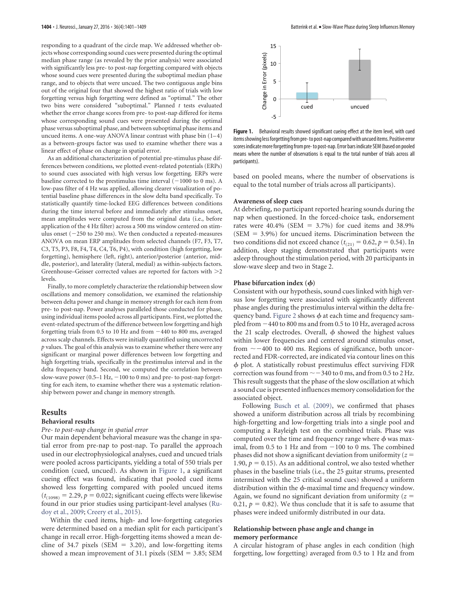responding to a quadrant of the circle map. We addressed whether objects whose corresponding sound cues were presented during the optimal median phase range (as revealed by the prior analysis) were associated with significantly less pre- to post-nap forgetting compared with objects whose sound cues were presented during the suboptimal median phase range, and to objects that were uncued. The two contiguous angle bins out of the original four that showed the highest ratio of trials with low forgetting versus high forgetting were defined as "optimal." The other two bins were considered "suboptimal." Planned *t* tests evaluated whether the error change scores from pre- to post-nap differed for items whose corresponding sound cues were presented during the optimal phase versus suboptimal phase, and between suboptimal phase items and uncued items. A one-way ANOVA linear contrast with phase bin  $(1-4)$ as a between-groups factor was used to examine whether there was a linear effect of phase on change in spatial error.

As an additional characterization of potential pre-stimulus phase differences between conditions, we plotted event-related potentials (ERPs) to sound cues associated with high versus low forgetting. ERPs were baseline corrected to the prestimulus time interval  $(-1000$  to 0 ms). A low-pass filter of 4 Hz was applied, allowing clearer visualization of potential baseline phase differences in the slow delta band specifically. To statistically quantify time-locked EEG differences between conditions during the time interval before and immediately after stimulus onset, mean amplitudes were computed from the original data (i.e., before application of the 4 Hz filter) across a 500 ms window centered on stimulus onset  $(-250 \text{ to } 250 \text{ ms})$ . We then conducted a repeated-measures ANOVA on mean ERP amplitudes from selected channels (F7, F3, T7, C3, T5, P3, F8, F4, T4, C4, T6, P4), with condition (high forgetting, low forgetting), hemisphere (left, right), anterior/posterior (anterior, middle, posterior), and laterality (lateral, medial) as within-subjects factors. Greenhouse–Geisser corrected values are reported for factors with  $>2$ levels.

Finally, to more completely characterize the relationship between slow oscillations and memory consolidation, we examined the relationship between delta power and change in memory strength for each item from pre- to post-nap. Power analyses paralleled those conducted for phase, using individual items pooled across all participants. First, we plotted the event-related spectrum of the difference between low forgetting and high forgetting trials from 0.5 to 10 Hz and from  $-440$  to 800 ms, averaged across scalp channels. Effects were initially quantified using uncorrected *p* values. The goal of this analysis was to examine whether there were any significant or marginal power differences between low forgetting and high forgetting trials, specifically in the prestimulus interval and in the delta frequency band. Second, we computed the correlation between slow-wave power  $(0.5-1 \text{ Hz}, -100 \text{ to } 0 \text{ ms})$  and pre- to post-nap forgetting for each item, to examine whether there was a systematic relationship between power and change in memory strength.

#### **Results**

# **Behavioral results**

### *Pre- to post-nap change in spatial error*

Our main dependent behavioral measure was the change in spatial error from pre-nap to post-nap. To parallel the approach used in our electrophysiological analyses, cued and uncued trials were pooled across participants, yielding a total of 550 trials per condition (cued, uncued). As shown in Figure 1, a significant cueing effect was found, indicating that pooled cued items showed less forgetting compared with pooled uncued items  $(t<sub>(1098)</sub> = 2.29, p = 0.022$ ; significant cueing effects were likewise found in our prior studies using participant-level analyses (Rudoy et al., 2009; Creery et al., 2015).

Within the cued items, high- and low-forgetting categories were determined based on a median split for each participant's change in recall error. High-forgetting items showed a mean decline of 34.7 pixels (SEM  $= 3.20$ ), and low-forgetting items showed a mean improvement of 31.1 pixels (SEM  $=$  3.85; SEM



Figure 1. Behavioral results showed significant cueing effect at the item level, with cued items showing less forgetting from pre- to post-nap compared with uncued items. Positive error scores indicatemore forgetting from pre-to post-nap. Error bars indicate SEM(based on pooled means where the number of observations is equal to the total number of trials across all participants).

based on pooled means, where the number of observations is equal to the total number of trials across all participants).

## **Awareness of sleep cues**

At debriefing, no participant reported hearing sounds during the nap when questioned. In the forced-choice task, endorsement rates were 40.4% (SEM  $= 3.7\%$ ) for cued items and 38.9%  $(SEM = 3.9%)$  for uncued items. Discrimination between the two conditions did not exceed chance ( $t_{(21)} = 0.62$ ,  $p = 0.54$ ). In addition, sleep staging demonstrated that participants were asleep throughout the stimulation period, with 20 participants in slow-wave sleep and two in Stage 2.

### **Phase bifurcation index**  $(\phi)$

Consistent with our hypothesis, sound cues linked with high versus low forgetting were associated with significantly different phase angles during the prestimulus interval within the delta frequency band. Figure 2 shows  $\phi$  at each time and frequency sampled from  $-440$  to  $800$  ms and from 0.5 to 10 Hz, averaged across the 21 scalp electrodes. Overall,  $\phi$  showed the highest values within lower frequencies and centered around stimulus onset, from  $\sim$  -400 to 400 ms. Regions of significance, both uncorrected and FDR-corrected, are indicated via contour lines on this  $\phi$  plot. A statistically robust prestimulus effect surviving FDR correction was found from  $\sim$  -340 to 0 ms, and from 0.5 to 2 Hz. This result suggests that the phase of the slow oscillation at which a sound cue is presented influences memory consolidation for the associated object.

Following Busch et al. (2009), we confirmed that phases showed a uniform distribution across all trials by recombining high-forgetting and low-forgetting trials into a single pool and computing a Rayleigh test on the combined trials. Phase was computed over the time and frequency range where  $\phi$  was maximal, from 0.5 to 1 Hz and from  $-100$  to 0 ms. The combined phases did not show a significant deviation from uniformity ( $z =$ 1.90,  $p = 0.15$ ). As an additional control, we also tested whether phases in the baseline trials (i.e., the 25 guitar strums, presented intermixed with the 25 critical sound cues) showed a uniform distribution within the  $\phi$ -maximal time and frequency window. Again, we found no significant deviation from uniformity  $(z =$ 0.21,  $p = 0.82$ ). We thus conclude that it is safe to assume that phases were indeed uniformly distributed in our data.

# **Relationship between phase angle and change in memory performance**

A circular histogram of phase angles in each condition (high forgetting, low forgetting) averaged from 0.5 to 1 Hz and from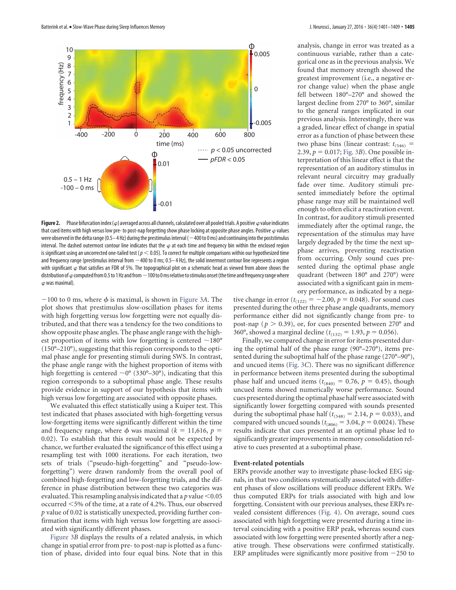

**Figure 2.** Phase bifurcation index ( $\varphi$ ) averaged across all channels, calculated over all pooled trials. A positive  $\varphi$  value indicates that cued items with high versus low pre- to post-nap forgetting show phase locking at opposite phase angles. Positive  $\varphi$  values were observed in the delta range (0.5–4 Hz) during the prestimulus interval ( $-400$  to 0 ms) and continuing into the poststimulus interval. The dashed outermost contour line indicates that the  $\varphi$  at each time and frequency bin within the enclosed region is significant using an uncorrected one-tailed test ( $p < 0.05$ ). To correct for multiple comparisons within our hypothesized time and frequency range (prestimulus interval from  $-400$  to 0 ms; 0.5–4 Hz), the solid innermost contour line represents a region with significant  $\varphi$  that satisfies an FDR of 5%. The topographical plot on a schematic head as viewed from above shows the distribution of  $\varphi$  computed from 0.5 to 1Hz and from  $-100$  to 0 ms relative to stimulus onset (the time and frequency range where  $\varphi$  was maximal).

 $-100$  to 0 ms, where  $\phi$  is maximal, is shown in Figure 3*A*. The plot shows that prestimulus slow-oscillation phases for items with high forgetting versus low forgetting were not equally distributed, and that there was a tendency for the two conditions to show opposite phase angles. The phase angle range with the highest proportion of items with low forgetting is centered  $\sim$ 180 $^{\circ}$ (150°–210°), suggesting that this region corresponds to the optimal phase angle for presenting stimuli during SWS. In contrast, the phase angle range with the highest proportion of items with high forgetting is centered  $\sim 0^{\circ}$  (330°–30°), indicating that this region corresponds to a suboptimal phase angle. These results provide evidence in support of our hypothesis that items with high versus low forgetting are associated with opposite phases.

We evaluated this effect statistically using a Kuiper test. This test indicated that phases associated with high-forgetting versus low-forgetting items were significantly different within the time and frequency range, where  $\phi$  was maximal ( $k = 11,616$ ,  $p =$ 0.02). To establish that this result would not be expected by chance, we further evaluated the significance of this effect using a resampling test with 1000 iterations. For each iteration, two sets of trials ("pseudo-high-forgetting" and "pseudo-lowforgetting") were drawn randomly from the overall pool of combined high-forgetting and low-forgetting trials, and the difference in phase distribution between these two categories was evaluated. This resampling analysis indicated that a  $p$  value  $\leq 0.05$ occurred  $<5\%$  of the time, at a rate of 4.2%. Thus, our observed *p* value of 0.02 is statistically unexpected, providing further confirmation that items with high versus low forgetting are associated with significantly different phases.

Figure 3*B* displays the results of a related analysis, in which change in spatial error from pre- to post-nap is plotted as a function of phase, divided into four equal bins. Note that in this analysis, change in error was treated as a continuous variable, rather than a categorical one as in the previous analysis. We found that memory strength showed the greatest improvement (i.e., a negative error change value) when the phase angle fell between 180°–270° and showed the largest decline from 270° to 360°, similar to the general ranges implicated in our previous analysis. Interestingly, there was a graded, linear effect of change in spatial error as a function of phase between these two phase bins (linear contrast:  $t_{(546)}$  = 2.39,  $p = 0.017$ ; Fig. 3*B*). One possible interpretation of this linear effect is that the representation of an auditory stimulus in relevant neural circuitry may gradually fade over time. Auditory stimuli presented immediately before the optimal phase range may still be maintained well enough to often elicit a reactivation event. In contrast, for auditory stimuli presented immediately after the optimal range, the representation of the stimulus may have largely degraded by the time the next upphase arrives, preventing reactivation from occurring. Only sound cues presented during the optimal phase angle quadrant (between 180° and 270°) were associated with a significant gain in memory performance, as indicated by a nega-

tive change in error ( $t_{(122)} = -2.00, p = 0.048$ ). For sound cues presented during the other three phase angle quadrants, memory performance either did not significantly change from pre- to post-nap ( $p > 0.39$ ), or, for cues presented between 270 $^{\circ}$  and 360°, showed a marginal decline ( $t_{(132)} = 1.93$ ,  $p = 0.056$ ).

Finally, we compared change in error for items presented during the optimal half of the phase range (90°–270°), items presented during the suboptimal half of the phase range (270°–90°), and uncued items (Fig. 3*C*). There was no significant difference in performance between items presented during the suboptimal phase half and uncued items ( $t_{(840)} = 0.76$ ,  $p = 0.45$ ), though uncued items showed numerically worse performance. Sound cues presented during the optimal phase half were associated with significantly lower forgetting compared with sounds presented during the suboptimal phase half ( $t_{(548)} = 2.14$ ,  $p = 0.033$ ), and compared with uncued sounds ( $t_{(806)} = 3.04$ ,  $p = 0.0024$ ). These results indicate that cues presented at an optimal phase led to significantly greater improvements in memory consolidation relative to cues presented at a suboptimal phase.

#### **Event-related potentials**

ERPs provide another way to investigate phase-locked EEG signals, in that two conditions systematically associated with different phases of slow oscillations will produce different ERPs. We thus computed ERPs for trials associated with high and low forgetting. Consistent with our previous analyses, these ERPs revealed consistent differences (Fig. 4). On average, sound cues associated with high forgetting were presented during a time interval coinciding with a positive ERP peak, whereas sound cues associated with low forgetting were presented shortly after a negative trough. These observations were confirmed statistically. ERP amplitudes were significantly more positive from  $-250$  to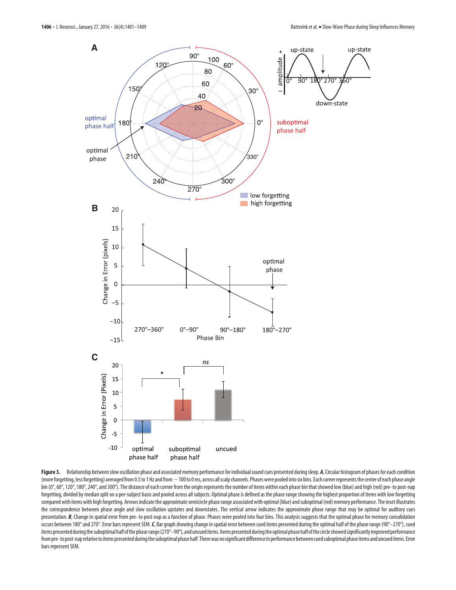

Figure 3. Relationship between slow oscillation phase and associated memory performance for individual sound cues presented during sleep. *A*, Circular histogram of phases for each condition (more forgetting, less forgetting) averaged from 0.5 to 1 Hz and from  $-100$  to 0 ms, across all scalp channels. Phases were pooled into six bins. Each corner represents the center of each phase angle bin (0°, 60°, 120°, 180°, 240°, and 300°). The distance of each corner from the origin represents the number of items within each phase bin that showed low (blue) and high (red) pre- to post-nap forgetting, divided by median split on a per-subject basis and pooled across all subjects. Optimal phase is defined as the phase range showing the highest proportion of items with low forgetting compared with items with high forgetting. Arrows indicate the approximatesemicircle phase range associated with optimal (blue) andsuboptimal (red) memory performance. The inset illustrates the correspondence between phase angle and slow oscillation upstates and downstates. The vertical arrow indicates the approximate phase range that may be optimal for auditory cues presentation. B, Change in spatial error from pre- to post-nap as a function of phase. Phases were pooled into four bins. This analysis suggests that the optimal phase for memory consolidation occurs between 180° and 270°. Error bars represent SEM.*C*, Bar graph showing change in spatial error between cued items presented during the optimal half of the phase range (90°–270°), cued items presented during the suboptimal half of the phase range (270°–90°), and uncued items. Items presented during the optimal phase half of the circle showed significantly improved performance from pre-to post-nap relative to items presented during the suboptimal phase half. There was no significant difference in performance between cued suboptimal phase items and uncued items. Error bars represent SEM.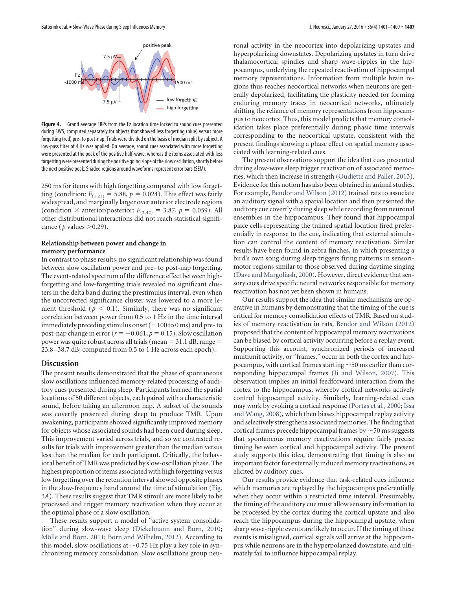

**Figure 4.** Grand average ERPs from the Fz location time locked to sound cues presented during SWS, computed separately for objects that showed less forgetting (blue) versus more forgetting (red) pre- to post-nap. Trials were divided on the basis of median split by subject. A low-pass filter of 4 Hz was applied. On average, sound cues associated with more forgetting were presented at the peak of the positive half-wave, whereas the items associated with less forgetting were presented during the positive going slope of the slow oscillation, shortly before the next positive peak. Shaded regions around waveforms represent error bars (SEM).

250 ms for items with high forgetting compared with low forgetting (condition:  $F_{(1,21)} = 5.88$ ,  $p = 0.024$ ). This effect was fairly widespread, and marginally larger over anterior electrode regions (condition  $\times$  anterior/posterior:  $F_{(2,42)} = 3.87$ ,  $p = 0.059$ ). All other distributional interactions did not reach statistical significance ( $p$  values  $>0.29$ ).

## **Relationship between power and change in memory performance**

In contrast to phase results, no significant relationship was found between slow oscillation power and pre- to post-nap forgetting. The event-related spectrum of the difference effect between highforgetting and low-forgetting trials revealed no significant clusters in the delta band during the prestimulus interval, even when the uncorrected significance cluster was lowered to a more lenient threshold ( $p < 0.1$ ). Similarly, there was no significant correlation between power from 0.5 to 1 Hz in the time interval immediately preceding stimulus onset  $(-100 \text{ to } 0 \text{ ms})$  and pre- to post-nap change in error  $(r = -0.061, p = 0.15)$ . Slow oscillation power was quite robust across all trials (mean  $= 31.1$  dB, range  $=$ 23.8 –38.7 dB; computed from 0.5 to 1 Hz across each epoch).

# **Discussion**

The present results demonstrated that the phase of spontaneous slow oscillations influenced memory-related processing of auditory cues presented during sleep. Participants learned the spatial locations of 50 different objects, each paired with a characteristic sound, before taking an afternoon nap. A subset of the sounds was covertly presented during sleep to produce TMR. Upon awakening, participants showed significantly improved memory for objects whose associated sounds had been cued during sleep. This improvement varied across trials, and so we contrasted results for trials with improvement greater than the median versus less than the median for each participant. Critically, the behavioral benefit of TMR was predicted by slow-oscillation phase. The highest proportion of items associated with high forgetting versus low forgetting over the retention interval showed opposite phases in the slow-frequency band around the time of stimulation (Fig. 3*A*). These results suggest that TMR stimuli are more likely to be processed and trigger memory reactivation when they occur at the optimal phase of a slow oscillation.

These results support a model of "active system consolidation" during slow-wave sleep (Diekelmann and Born, 2010; Mölle and Born, 2011; Born and Wilhelm, 2012). According to this model, slow oscillations at  $\sim$  0.75 Hz play a key role in synchronizing memory consolidation. Slow oscillations group neu-

ronal activity in the neocortex into depolarizing upstates and hyperpolarizing downstates. Depolarizing upstates in turn drive thalamocortical spindles and sharp wave-ripples in the hippocampus, underlying the repeated reactivation of hippocampal memory representations. Information from multiple brain regions thus reaches neocortical networks when neurons are generally depolarized, facilitating the plasticity needed for forming enduring memory traces in neocortical networks, ultimately shifting the reliance of memory representations from hippocampus to neocortex. Thus, this model predicts that memory consolidation takes place preferentially during phasic time intervals corresponding to the neocortical upstate, consistent with the present findings showing a phase effect on spatial memory associated with learning-related cues.

The present observations support the idea that cues presented during slow-wave sleep trigger reactivation of associated memories, which then increase in strength (Oudiette and Paller, 2013). Evidence for this notion has also been obtained in animal studies. For example, Bendor and Wilson (2012) trained rats to associate an auditory signal with a spatial location and then presented the auditory cue covertly during sleep while recording from neuronal ensembles in the hippocampus. They found that hippocampal place cells representing the trained spatial location fired preferentially in response to the cue, indicating that external stimulation can control the content of memory reactivation. Similar results have been found in zebra finches, in which presenting a bird's own song during sleep triggers firing patterns in sensorimotor regions similar to those observed during daytime singing (Dave and Margoliash, 2000). However, direct evidence that sensory cues drive specific neural networks responsible for memory reactivation has not yet been shown in humans.

Our results support the idea that similar mechanisms are operative in humans by demonstrating that the timing of the cue is critical for memory consolidation effects of TMR. Based on studies of memory reactivation in rats, Bendor and Wilson (2012) proposed that the content of hippocampal memory reactivations can be biased by cortical activity occurring before a replay event. Supporting this account, synchronized periods of increased multiunit activity, or "frames," occur in both the cortex and hippocampus, with cortical frames starting  $\sim$  50 ms earlier than corresponding hippocampal frames (Ji and Wilson, 2007). This observation implies an initial feedforward interaction from the cortex to the hippocampus, whereby cortical networks actively control hippocampal activity. Similarly, learning-related cues may work by evoking a cortical response (Portas et al., 2000; Issa and Wang, 2008), which then biases hippocampal replay activity and selectively strengthens associated memories. The finding that cortical frames precede hippocampal frames by  $\sim$  50 ms suggests that spontaneous memory reactivations require fairly precise timing between cortical and hippocampal activity. The present study supports this idea, demonstrating that timing is also an important factor for externally induced memory reactivations, as elicited by auditory cues.

Our results provide evidence that task-related cues influence which memories are replayed by the hippocampus preferentially when they occur within a restricted time interval. Presumably, the timing of the auditory cue must allow sensory information to be processed by the cortex during the cortical upstate and also reach the hippocampus during the hippocampal upstate, when sharp wave-ripple events are likely to occur. If the timing of these events is misaligned, cortical signals will arrive at the hippocampus while neurons are in the hyperpolarized downstate, and ultimately fail to influence hippocampal replay.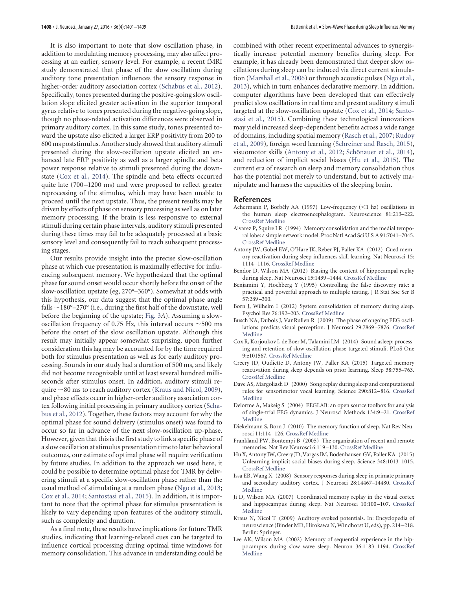It is also important to note that slow oscillation phase, in addition to modulating memory processing, may also affect processing at an earlier, sensory level. For example, a recent fMRI study demonstrated that phase of the slow oscillation during auditory tone presentation influences the sensory response in higher-order auditory association cortex (Schabus et al., 2012). Specifically, tones presented during the positive-going slow oscillation slope elicited greater activation in the superior temporal gyrus relative to tones presented during the negative-going slope, though no phase-related activation differences were observed in primary auditory cortex. In this same study, tones presented toward the upstate also elicited a larger ERP positivity from 200 to 600 ms poststimulus. Another study showed that auditory stimuli presented during the slow-oscillation upstate elicited an enhanced late ERP positivity as well as a larger spindle and beta power response relative to stimuli presented during the downstate (Cox et al., 2014). The spindle and beta effects occurred quite late (700 –1200 ms) and were proposed to reflect greater reprocessing of the stimulus, which may have been unable to proceed until the next upstate. Thus, the present results may be driven by effects of phase on sensory processing as well as on later memory processing. If the brain is less responsive to external stimuli during certain phase intervals, auditory stimuli presented during these times may fail to be adequately processed at a basic sensory level and consequently fail to reach subsequent processing stages.

Our results provide insight into the precise slow-oscillation phase at which cue presentation is maximally effective for influencing subsequent memory. We hypothesized that the optimal phase for sound onset would occur shortly before the onset of the slow-oscillation upstate (eg, 270°–360°). Somewhat at odds with this hypothesis, our data suggest that the optimal phase angle falls  $\sim$ 180°–270° (i.e., during the first half of the downstate, well before the beginning of the upstate; Fig. 3*A*). Assuming a slowoscillation frequency of 0.75 Hz, this interval occurs  $\sim$  500 ms before the onset of the slow oscillation upstate. Although this result may initially appear somewhat surprising, upon further consideration this lag may be accounted for by the time required both for stimulus presentation as well as for early auditory processing. Sounds in our study had a duration of 500 ms, and likely did not become recognizable until at least several hundred milliseconds after stimulus onset. In addition, auditory stimuli require  $\sim$ 80 ms to reach auditory cortex (Kraus and Nicol, 2009), and phase effects occur in higher-order auditory association cortex following initial processing in primary auditory cortex (Schabus et al., 2012). Together, these factors may account for why the optimal phase for sound delivery (stimulus onset) was found to occur so far in advance of the next slow-oscillation up-phase. However, given that this is the first study to link a specific phase of a slow oscillation at stimulus presentation time to later behavioral outcomes, our estimate of optimal phase will require verification by future studies. In addition to the approach we used here, it could be possible to determine optimal phase for TMR by delivering stimuli at a specific slow-oscillation phase rather than the usual method of stimulating at a random phase (Ngo et al., 2013; Cox et al., 2014; Santostasi et al., 2015). In addition, it is important to note that the optimal phase for stimulus presentation is likely to vary depending upon features of the auditory stimuli, such as complexity and duration.

As a final note, these results have implications for future TMR studies, indicating that learning-related cues can be targeted to influence cortical processing during optimal time windows for memory consolidation. This advance in understanding could be combined with other recent experimental advances to synergistically increase potential memory benefits during sleep. For example, it has already been demonstrated that deeper slow oscillations during sleep can be induced via direct current stimulation (Marshall et al., 2006) or through acoustic pulses (Ngo et al., 2013), which in turn enhances declarative memory. In addition, computer algorithms have been developed that can effectively predict slow oscillations in real time and present auditory stimuli targeted at the slow-oscillation upstate (Cox et al., 2014; Santostasi et al., 2015). Combining these technological innovations may yield increased sleep-dependent benefits across a wide range of domains, including spatial memory (Rasch et al., 2007; Rudoy et al., 2009), foreign word learning (Schreiner and Rasch, 2015), visuomotor skills (Antony et al., 2012; Schönauer et al., 2014), and reduction of implicit social biases (Hu et al., 2015). The current era of research on sleep and memory consolidation thus has the potential not merely to understand, but to actively manipulate and harness the capacities of the sleeping brain.

#### **References**

- Achermann P, Borbély AA (1997) Low-frequency  $(<1$  hz) oscillations in th[e human](http://dx.doi.org/10.1016/S0306-4522(97)00186-3) [sleep e](http://www.ncbi.nlm.nih.gov/pubmed/9300413)lectroencephalogram. Neuroscience 81:213–222. CrossRef Medline
- Alvarez P, Squire LR (1994) Memory consolidation and the medial temporal [lobe: a si](http://dx.doi.org/10.1073/pnas.91.15.7041)[mple netw](http://www.ncbi.nlm.nih.gov/pubmed/8041742)ork model. Proc Natl Acad Sci U S A 91:7041–7045. CrossRef Medline
- Antony JW, Gobel EW, O'Hare JK, Reber PJ, Paller KA (2012) Cued memory reactivatio[n during](http://dx.doi.org/10.1038/nn.3152) [sleep influ](http://www.ncbi.nlm.nih.gov/pubmed/22751035)ences skill learning. Nat Neurosci 15: 1114 –1116. CrossRef Medline
- Bendor D, Wilson MA (2012) Biasing the con[tent of hip](http://dx.doi.org/10.1038/nn.3203)[pocampa](http://www.ncbi.nlm.nih.gov/pubmed/22941111)l replay during sleep. Nat Neurosci 15:1439 –1444. CrossRef Medline
- Benjamini Y, Hochberg Y (1995) Controlling the false discovery rate: a practical and powerful approach to multiple testing. J R Stat Soc Ser B 57:289 –300.
- Born J, Wilhelm I (2012) Sys[tem cons](http://dx.doi.org/10.1007/s00426-011-0335-6)[olidation](http://www.ncbi.nlm.nih.gov/pubmed/21541757) of memory during sleep. Psychol Res 76:192–203. CrossRef Medline
- Busch NA, Dubois J, VanRullen R (2009) The phase of ongoing EE[G oscil](http://dx.doi.org/10.1523/JNEUROSCI.0113-09.2009)lat[ions pred](http://www.ncbi.nlm.nih.gov/pubmed/19535598)icts visual perception. J Neurosci 29:7869 –7876. CrossRef Medline
- Cox R, Korjoukov I, de Boer M, Talamini LM (2014) Sound asleep: processing and rete[ntion of sl](http://dx.doi.org/10.1371/journal.pone.0101567)[ow oscilla](http://www.ncbi.nlm.nih.gov/pubmed/24999803)tion phase-targeted stimuli. PLoS One 9:e101567. CrossRef Medline
- Creery JD, Oudiette D, Antony JW, Paller KA (2015) Targeted memory re[activation](http://dx.doi.org/10.5665/sleep.4670) [during s](http://www.ncbi.nlm.nih.gov/pubmed/25515103)leep depends on prior learning. Sleep 38:755–763. CrossRef Medline
- Dave AS, Margoliash D (2000) Song replay during sleep and comput[ational](http://dx.doi.org/10.1126/science.290.5492.812) ru[les for se](http://www.ncbi.nlm.nih.gov/pubmed/11052946)nsorimotor vocal learning. Science 290:812–816. CrossRef Medline
- Delorme A, Makeig S (2004) EEGLAB: an open source toolbox for a[nalysis](http://dx.doi.org/10.1016/j.jneumeth.2003.10.009) of [single-tri](http://www.ncbi.nlm.nih.gov/pubmed/15102499)al EEG dynamics. J Neurosci Methods 134:9 –21. CrossRef Medline
- Diekelmann S, Born J ([2010\) The](http://dx.doi.org/10.1038/nrn2762) [memory](http://www.ncbi.nlm.nih.gov/pubmed/20046194) function of sleep. Nat Rev Neurosci 11:114 –126. CrossRef Medline
- Frankland PW, Bontempi B (2005) The orga[nization of](http://dx.doi.org/10.1038/nrn1607) [recent an](http://www.ncbi.nlm.nih.gov/pubmed/15685217)d remote memories. Nat Rev Neurosci 6:119 –130. CrossRef Medline
- Hu X, Antony JW, Creery JD, Vargas IM, Bodenhausen GV, Paller KA (2015) U[nlearning](http://dx.doi.org/10.1126/science.aaa3841) [implicit s](http://www.ncbi.nlm.nih.gov/pubmed/26023137)ocial biases during sleep. Science 348:1013–1015. CrossRef Medline
- Issa EB, Wang X (2008) Sensory responses during sleep in primate p[rimary](http://dx.doi.org/10.1523/JNEUROSCI.3086-08.2008) an[d second](http://www.ncbi.nlm.nih.gov/pubmed/19118181)ary auditory cortex. J Neurosci 28:14467–14480. CrossRef Medline
- Ji D, Wilson MA (2007) Coordinated memory replay in the visual [cortex](http://dx.doi.org/10.1038/nn1825) an[d hippoc](http://www.ncbi.nlm.nih.gov/pubmed/17173043)ampus during sleep. Nat Neurosci 10:100 –107. CrossRef Medline
- Kraus N, Nicol T (2009) Auditory evoked potentials. In: Encyclopedia of neuroscience (Binder MD, Hirokawa N, Windhorst U, eds), pp. 214 –218. Berlin: Springer.
- Lee AK, Wilson MA (2002) Memory of sequential experience in t[he hip](http://dx.doi.org/10.1016/S0896-6273(02)01096-6)po[campus](http://www.ncbi.nlm.nih.gov/pubmed/12495631) during slow wave sleep. Neuron 36:1183–1194. CrossRef Medline